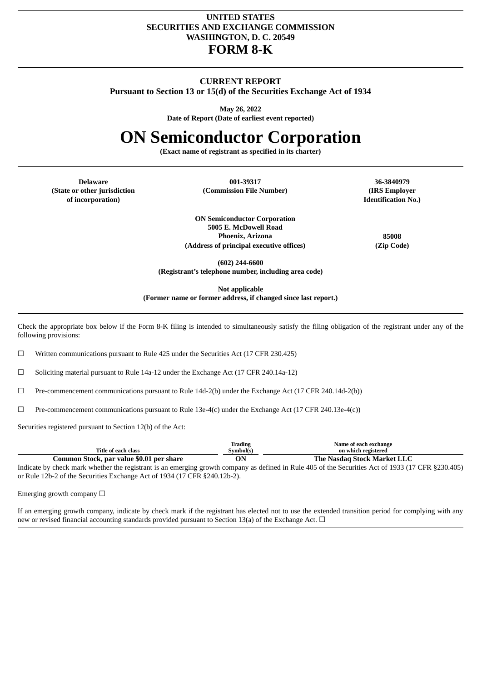## **UNITED STATES SECURITIES AND EXCHANGE COMMISSION WASHINGTON, D. C. 20549 FORM 8-K**

### **CURRENT REPORT**

**Pursuant to Section 13 or 15(d) of the Securities Exchange Act of 1934**

**May 26, 2022**

**Date of Report (Date of earliest event reported)**

# **ON Semiconductor Corporation**

**(Exact name of registrant as specified in its charter)**

**(State or other jurisdiction of incorporation)**

**Delaware 001-39317 36-3840979 (Commission File Number) (IRS Employer**

**Identification No.)**

**ON Semiconductor Corporation 5005 E. McDowell Road Phoenix, Arizona 85008 (Address of principal executive offices) (Zip Code)**

**(602) 244-6600 (Registrant's telephone number, including area code)**

**Not applicable**

**(Former name or former address, if changed since last report.)**

Check the appropriate box below if the Form 8-K filing is intended to simultaneously satisfy the filing obligation of the registrant under any of the following provisions:

☐ Written communications pursuant to Rule 425 under the Securities Act (17 CFR 230.425)

☐ Soliciting material pursuant to Rule 14a-12 under the Exchange Act (17 CFR 240.14a-12)

☐ Pre-commencement communications pursuant to Rule 14d-2(b) under the Exchange Act (17 CFR 240.14d-2(b))

 $\Box$  Pre-commencement communications pursuant to Rule 13e-4(c) under the Exchange Act (17 CFR 240.13e-4(c))

Securities registered pursuant to Section 12(b) of the Act:

| Trading                                  | svmbol(s)                   |
|------------------------------------------|-----------------------------|
| Title of each class                      | on which registered         |
| Common Stock, par value \$0.01 per share | The Nasdag Stock Market LLC |

Indicate by check mark whether the registrant is an emerging growth company as defined in Rule 405 of the Securities Act of 1933 (17 CFR §230.405) or Rule 12b-2 of the Securities Exchange Act of 1934 (17 CFR §240.12b-2).

Emerging growth company  $\Box$ 

If an emerging growth company, indicate by check mark if the registrant has elected not to use the extended transition period for complying with any new or revised financial accounting standards provided pursuant to Section 13(a) of the Exchange Act.  $\Box$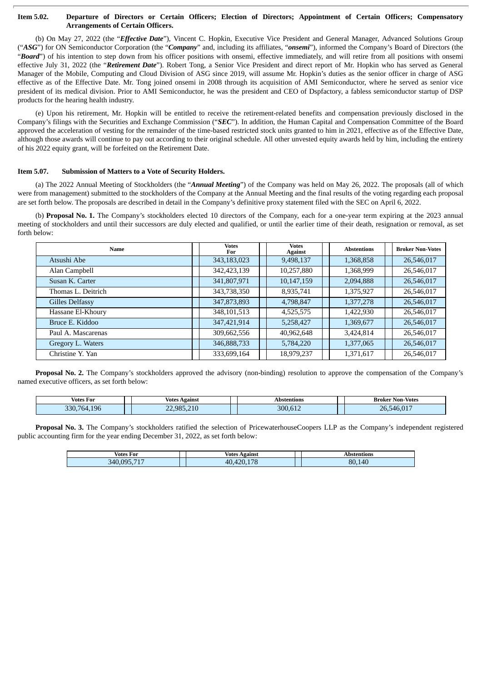### Item 5.02. Departure of Directors or Certain Officers; Election of Directors; Appointment of Certain Officers; Compensatory **Arrangements of Certain Officers.**

(b) On May 27, 2022 (the "*Effective Date*"), Vincent C. Hopkin, Executive Vice President and General Manager, Advanced Solutions Group ("*ASG*") for ON Semiconductor Corporation (the "*Company*" and, including its affiliates, "*onsemi*"), informed the Company's Board of Directors (the "Board") of his intention to step down from his officer positions with onsemi, effective immediately, and will retire from all positions with onsemi effective July 31, 2022 (the "*Retirement Date*"). Robert Tong, a Senior Vice President and direct report of Mr. Hopkin who has served as General Manager of the Mobile, Computing and Cloud Division of ASG since 2019, will assume Mr. Hopkin's duties as the senior officer in charge of ASG effective as of the Effective Date. Mr. Tong joined onsemi in 2008 through its acquisition of AMI Semiconductor, where he served as senior vice president of its medical division. Prior to AMI Semiconductor, he was the president and CEO of Dspfactory, a fabless semiconductor startup of DSP products for the hearing health industry.

(e) Upon his retirement, Mr. Hopkin will be entitled to receive the retirement-related benefits and compensation previously disclosed in the Company's filings with the Securities and Exchange Commission ("*SEC*"). In addition, the Human Capital and Compensation Committee of the Board approved the acceleration of vesting for the remainder of the time-based restricted stock units granted to him in 2021, effective as of the Effective Date, although those awards will continue to pay out according to their original schedule. All other unvested equity awards held by him, including the entirety of his 2022 equity grant, will be forfeited on the Retirement Date.

#### **Item 5.07. Submission of Matters to a Vote of Security Holders.**

(a) The 2022 Annual Meeting of Stockholders (the "*Annual Meeting*") of the Company was held on May 26, 2022. The proposals (all of which were from management) submitted to the stockholders of the Company at the Annual Meeting and the final results of the voting regarding each proposal are set forth below. The proposals are described in detail in the Company's definitive proxy statement filed with the SEC on April 6, 2022.

(b) **Proposal No. 1.** The Company's stockholders elected 10 directors of the Company, each for a one-year term expiring at the 2023 annual meeting of stockholders and until their successors are duly elected and qualified, or until the earlier time of their death, resignation or removal, as set forth below:

| Name               | <b>Votes</b><br>For | Votes<br><b>Against</b> |  | <b>Abstentions</b> | <b>Broker Non-Votes</b> |
|--------------------|---------------------|-------------------------|--|--------------------|-------------------------|
| Atsushi Abe        | 343,183,023         | 9,498,137               |  | 1,368,858          | 26,546,017              |
| Alan Campbell      | 342,423,139         | 10,257,880              |  | 1,368,999          | 26,546,017              |
| Susan K. Carter    | 341,807,971         | 10,147,159              |  | 2,094,888          | 26,546,017              |
| Thomas L. Deitrich | 343,738,350         | 8,935,741               |  | 1,375,927          | 26,546,017              |
| Gilles Delfassy    | 347,873,893         | 4,798,847               |  | 1,377,278          | 26,546,017              |
| Hassane El-Khoury  | 348, 101, 513       | 4,525,575               |  | 1,422,930          | 26,546,017              |
| Bruce E. Kiddoo    | 347,421,914         | 5,258,427               |  | 1,369,677          | 26,546,017              |
| Paul A. Mascarenas | 309,662,556         | 40,962,648              |  | 3,424,814          | 26,546,017              |
| Gregory L. Waters  | 346,888,733         | 5,784,220               |  | 1,377,065          | 26,546,017              |
| Christine Y. Yan   | 333,699,164         | 18,979,237              |  | 1,371,617          | 26,546,017              |

**Proposal No. 2.** The Company's stockholders approved the advisory (non-binding) resolution to approve the compensation of the Company's named executive officers, as set forth below:

| Votes For         | Votes<br>Against | Abstentions                 | Non-Votes<br>Broker<br>____             |
|-------------------|------------------|-----------------------------|-----------------------------------------|
| 196<br>330<br>764 | 22,985,210       | 300<br>$\sim$ $\sim$<br>014 | 0.4 <sub>0</sub><br>ገሬ<br>5/16<br>.v.v. |

**Proposal No. 3.** The Company's stockholders ratified the selection of PricewaterhouseCoopers LLP as the Company's independent registered public accounting firm for the year ending December 31, 2022, as set forth below:

| <b>Votes For</b>              | Against<br>Votes       | `entions<br>- 11 12 |
|-------------------------------|------------------------|---------------------|
| BAE<br><b>NQ5</b><br>34በ<br>. | 0 פ<br>AC<br>$10^{-7}$ | 80.140              |